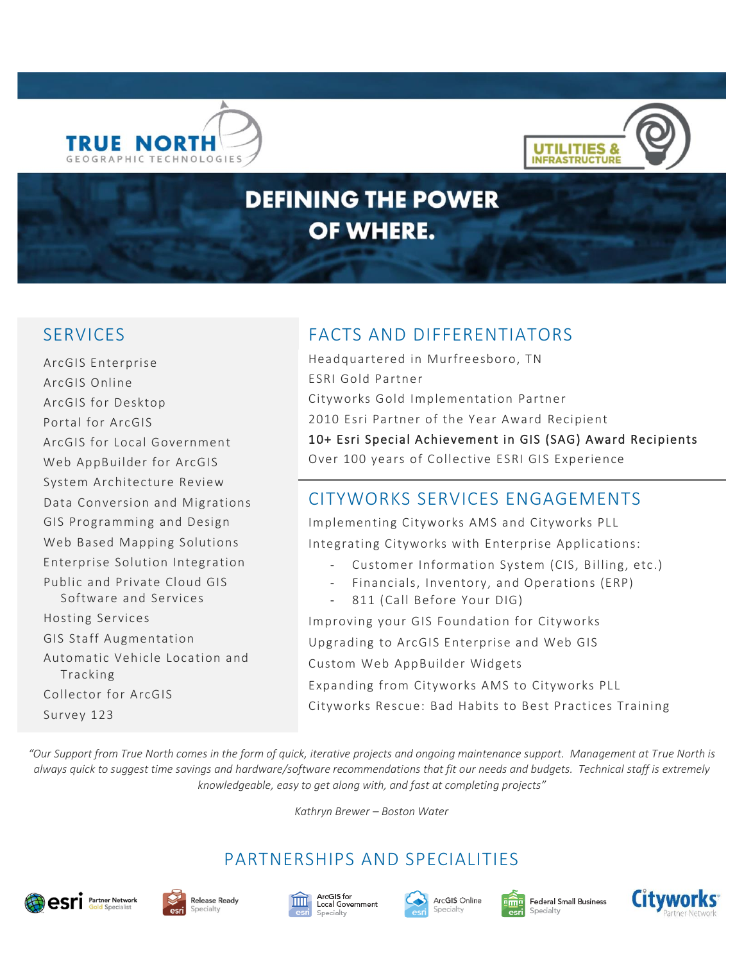



# **DEFINING THE POWER** OF WHERE.

ArcGIS Enterprise ArcGIS Online ArcGIS for Desktop Portal for ArcGIS ArcGIS for Local Government Web AppBuilder for ArcGIS System Architecture Review Data Conversion and Migrations GIS Programming and Design Web Based Mapping Solutions Enterprise Solution Integration Public and Private Cloud GIS Software and Services Hosting Services GIS Staff Augmentation Automatic Vehicle Location and Tracking Collector for ArcGIS Survey 123

## SERVICES FACTS AND DIFFERENTIATORS

Headquartered in Murfreesboro, TN ESRI Gold Partner Cityworks Gold Implementation Partner 2010 Esri Partner of the Year Award Recipient 10+ Esri Special Achievement in GIS (SAG) Award Recipients Over 100 years of Collective ESRI GIS Experience

#### CITYWORKS SERVICES ENGAGEMENTS

Implementing Cityworks AMS and Cityworks PLL Integrating Cityworks with Enterprise Applications:

- Customer Information System (CIS, Billing, etc.)
- Financials, Inventory, and Operations (ERP)
- 811 (Call Before Your DIG)

Improving your GIS Foundation for Cityworks Upgrading to ArcGIS Enterprise and Web GIS Custom Web AppBuilder Widgets Expanding from Cityworks AMS to Cityworks PLL Cityworks Rescue: Bad Habits to Best Practices Training

*"Our Support from True North comes in the form of quick, iterative projects and ongoing maintenance support. Management at True North is always quick to suggest time savings and hardware/software recommendations that fit our needs and budgets. Technical staff is extremely knowledgeable, easy to get along with, and fast at completing projects"*

*Kathryn Brewer – Boston Water*

## PARTNERSHIPS AND SPECIALITIES